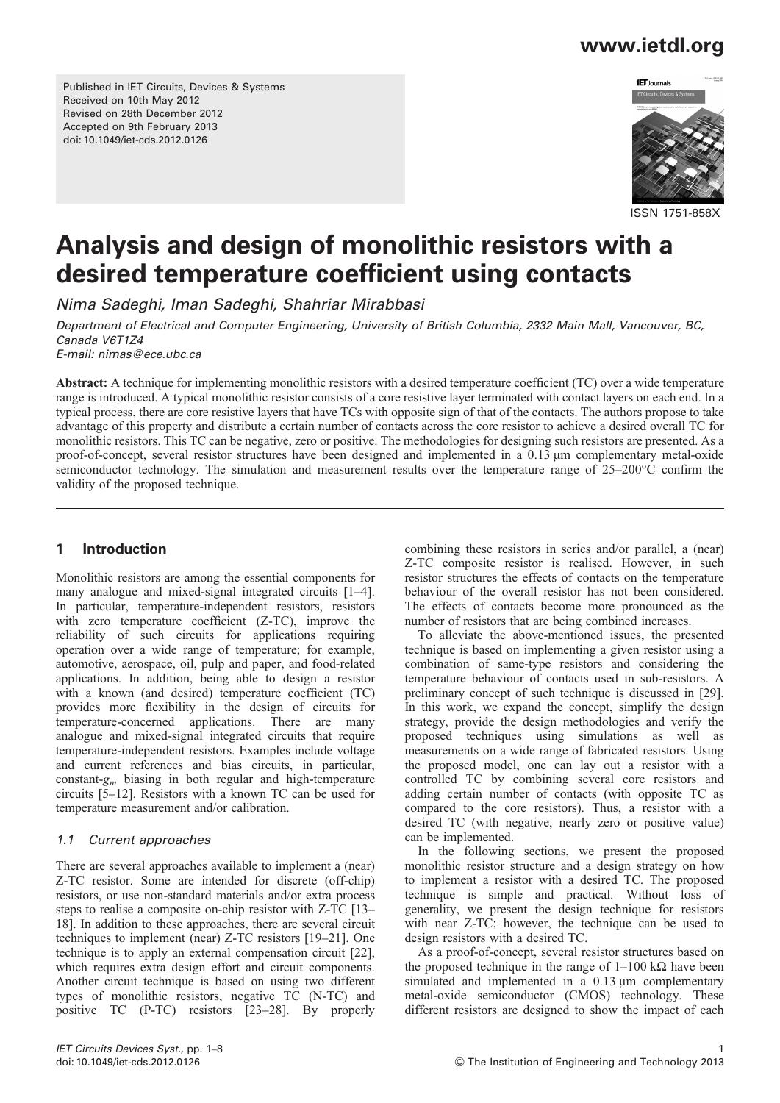Published in IET Circuits, Devices & Systems Received on 10th May 2012 Revised on 28th December 2012 Accepted on 9th February 2013 doi: 10.1049/iet-cds.2012.0126



ISSN 1751-858X

# Analysis and design of monolithic resistors with a desired temperature coefficient using contacts

Nima Sadeghi, Iman Sadeghi, Shahriar Mirabbasi

Department of Electrical and Computer Engineering, University of British Columbia, 2332 Main Mall, Vancouver, BC, Canada V6T1Z4

E-mail: nimas@ece.ubc.ca

Abstract: A technique for implementing monolithic resistors with a desired temperature coefficient (TC) over a wide temperature range is introduced. A typical monolithic resistor consists of a core resistive layer terminated with contact layers on each end. In a typical process, there are core resistive layers that have TCs with opposite sign of that of the contacts. The authors propose to take advantage of this property and distribute a certain number of contacts across the core resistor to achieve a desired overall TC for monolithic resistors. This TC can be negative, zero or positive. The methodologies for designing such resistors are presented. As a proof-of-concept, several resistor structures have been designed and implemented in a 0.13 μm complementary metal-oxide semiconductor technology. The simulation and measurement results over the temperature range of 25–200°C confirm the validity of the proposed technique.

## 1 Introduction

Monolithic resistors are among the essential components for many analogue and mixed-signal integrated circuits [[1](#page-7-0)–[4\]](#page-7-0). In particular, temperature-independent resistors, resistors with zero temperature coefficient (Z-TC), improve the reliability of such circuits for applications requiring operation over a wide range of temperature; for example, automotive, aerospace, oil, pulp and paper, and food-related applications. In addition, being able to design a resistor with a known (and desired) temperature coefficient (TC) provides more flexibility in the design of circuits for temperature-concerned applications. There are many analogue and mixed-signal integrated circuits that require temperature-independent resistors. Examples include voltage and current references and bias circuits, in particular, constant- $g_m$  biasing in both regular and high-temperature circuits [\[5](#page-7-0)–[12](#page-7-0)]. Resistors with a known TC can be used for temperature measurement and/or calibration.

### 1.1 Current approaches

There are several approaches available to implement a (near) Z-TC resistor. Some are intended for discrete (off-chip) resistors, or use non-standard materials and/or extra process steps to realise a composite on-chip resistor with Z-TC [\[13](#page-7-0)– [18\]](#page-7-0). In addition to these approaches, there are several circuit techniques to implement (near) Z-TC resistors [[19](#page-7-0)–[21\]](#page-7-0). One technique is to apply an external compensation circuit [[22\]](#page-7-0), which requires extra design effort and circuit components. Another circuit technique is based on using two different types of monolithic resistors, negative TC (N-TC) and positive TC (P-TC) resistors [\[23](#page-7-0)–[28](#page-7-0)]. By properly combining these resistors in series and/or parallel, a (near) Z-TC composite resistor is realised. However, in such resistor structures the effects of contacts on the temperature behaviour of the overall resistor has not been considered. The effects of contacts become more pronounced as the number of resistors that are being combined increases.

To alleviate the above-mentioned issues, the presented technique is based on implementing a given resistor using a combination of same-type resistors and considering the temperature behaviour of contacts used in sub-resistors. A preliminary concept of such technique is discussed in [[29\]](#page-7-0). In this work, we expand the concept, simplify the design strategy, provide the design methodologies and verify the proposed techniques using simulations as well as measurements on a wide range of fabricated resistors. Using the proposed model, one can lay out a resistor with a controlled TC by combining several core resistors and adding certain number of contacts (with opposite TC as compared to the core resistors). Thus, a resistor with a desired TC (with negative, nearly zero or positive value) can be implemented.

In the following sections, we present the proposed monolithic resistor structure and a design strategy on how to implement a resistor with a desired TC. The proposed technique is simple and practical. Without loss of generality, we present the design technique for resistors with near Z-TC; however, the technique can be used to design resistors with a desired TC.

As a proof-of-concept, several resistor structures based on the proposed technique in the range of  $1-100 \text{ k}\Omega$  have been simulated and implemented in a 0.13 μm complementary metal-oxide semiconductor (CMOS) technology. These different resistors are designed to show the impact of each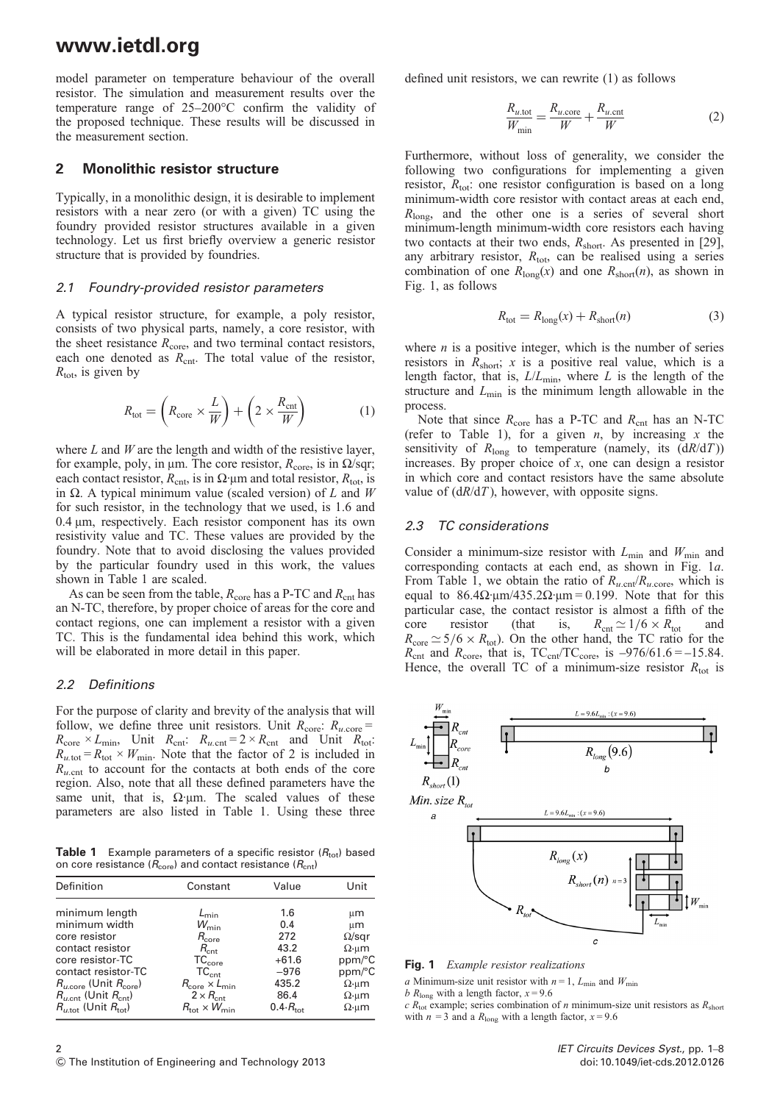<span id="page-1-0"></span>model parameter on temperature behaviour of the overall resistor. The simulation and measurement results over the temperature range of 25–200°C confirm the validity of the proposed technique. These results will be discussed in the measurement section.

#### 2 Monolithic resistor structure

Typically, in a monolithic design, it is desirable to implement resistors with a near zero (or with a given) TC using the foundry provided resistor structures available in a given technology. Let us first briefly overview a generic resistor structure that is provided by foundries.

#### 2.1 Foundry-provided resistor parameters

A typical resistor structure, for example, a poly resistor, consists of two physical parts, namely, a core resistor, with the sheet resistance  $R_{\text{core}}$ , and two terminal contact resistors, each one denoted as  $R_{\text{cnt}}$ . The total value of the resistor,  $R_{\text{tot}}$ , is given by

$$
R_{\text{tot}} = \left(R_{\text{core}} \times \frac{L}{W}\right) + \left(2 \times \frac{R_{\text{cnt}}}{W}\right) \tag{1}
$$

where  $L$  and  $W$  are the length and width of the resistive layer, for example, poly, in μm. The core resistor,  $R_{\text{core}}$ , is in  $\Omega/\text{sqr}$ ; each contact resistor,  $R_{\text{cnt}}$ , is in  $\Omega$ ·μm and total resistor,  $R_{\text{tot}}$ , is in Ω. A typical minimum value (scaled version) of L and W for such resistor, in the technology that we used, is 1.6 and 0.4 μm, respectively. Each resistor component has its own resistivity value and TC. These values are provided by the foundry. Note that to avoid disclosing the values provided by the particular foundry used in this work, the values shown in Table 1 are scaled.

As can be seen from the table,  $R_{\text{core}}$  has a P-TC and  $R_{\text{cnt}}$  has an N-TC, therefore, by proper choice of areas for the core and contact regions, one can implement a resistor with a given TC. This is the fundamental idea behind this work, which will be elaborated in more detail in this paper.

#### 2.2 Definitions

For the purpose of clarity and brevity of the analysis that will follow, we define three unit resistors. Unit  $R_{\text{core}}$ :  $R_{u,\text{core}}$  =  $R_{\text{core}} \times L_{\text{min}}$ , Unit  $R_{\text{ent}}$ :  $R_{u.\text{ent}} = 2 \times R_{\text{ent}}$  and Unit  $R_{\text{tot}}$ :  $R_{u.\text{tot}} = R_{\text{tot}} \times W_{\text{min}}$ . Note that the factor of 2 is included in  $R_{u, \text{cnt}}$  to account for the contacts at both ends of the core region. Also, note that all these defined parameters have the same unit, that is,  $\Omega$  um. The scaled values of these parameters are also listed in Table 1. Using these three

**Table 1** Example parameters of a specific resistor  $(R_{tot})$  based on core resistance ( $R_{\text{core}}$ ) and contact resistance ( $R_{\text{cnt}}$ )

| Definition                                     | Constant                          | Value                      | Unit                |
|------------------------------------------------|-----------------------------------|----------------------------|---------------------|
| minimum length                                 | $L_{\text{min}}$                  | 1.6                        | µm                  |
| minimum width<br>core resistor                 | $W_{\min}$<br>$R_{\rm core}$      | 0.4<br>272                 | μm<br>$\Omega$ /sgr |
| contact resistor                               | $R_{\rm crit}$                    | 43.2                       | $\Omega$ ·um        |
| core resistor-TC                               | TC <sub>core</sub>                | $+61.6$                    | ppm/°C              |
| contact resistor-TC                            | $TC_{\text{cnt}}$                 | $-976$                     | ppm/°C              |
| $R_{u.\text{core}}$ (Unit $R_{\text{core}}$ )  | $R_{\rm core} \times L_{\rm min}$ | 435.2                      | $\Omega$ ·um        |
| $R_{u, \text{cnt}}$ (Unit $R_{\text{cnt}}$ )   | $2 \times R_{\text{cnt}}$         | 86.4                       | $\Omega$ ·um        |
| $R_{\mu, \text{tot}}$ (Unit $R_{\text{tot}}$ ) | $R_{\rm tot}\times W_{\rm min}$   | $0.4 \cdot R_{\text{tot}}$ | $\Omega$ ·um        |

defined unit resistors, we can rewrite (1) as follows

$$
\frac{R_{u,\text{tot}}}{W_{\text{min}}} = \frac{R_{u,\text{core}}}{W} + \frac{R_{u,\text{cnt}}}{W}
$$
(2)

Furthermore, without loss of generality, we consider the following two configurations for implementing a given resistor,  $R_{\text{tot}}$ : one resistor configuration is based on a long minimum-width core resistor with contact areas at each end,  $R<sub>long</sub>$ , and the other one is a series of several short minimum-length minimum-width core resistors each having two contacts at their two ends,  $R_{short}$ . As presented in [[29\]](#page-7-0), any arbitrary resistor,  $R_{\text{tot}}$ , can be realised using a series combination of one  $R_{long}(x)$  and one  $R_{short}(n)$ , as shown in Fig. 1, as follows

$$
R_{\text{tot}} = R_{\text{long}}(x) + R_{\text{short}}(n) \tag{3}
$$

where  $n$  is a positive integer, which is the number of series resistors in  $R_{\text{short}}$ ; x is a positive real value, which is a length factor, that is,  $L/L_{\text{min}}$ , where L is the length of the structure and  $L_{\text{min}}$  is the minimum length allowable in the process.

Note that since  $R_{\text{core}}$  has a P-TC and  $R_{\text{cnt}}$  has an N-TC (refer to Table 1), for a given  $n$ , by increasing  $x$  the sensitivity of  $R_{\text{long}}$  to temperature (namely, its  $(dR/dT))$ increases. By proper choice of  $x$ , one can design a resistor in which core and contact resistors have the same absolute value of  $(dR/dT)$ , however, with opposite signs.

#### 2.3 TC considerations

Consider a minimum-size resistor with  $L_{\text{min}}$  and  $W_{\text{min}}$  and corresponding contacts at each end, as shown in Fig. 1a. From Table 1, we obtain the ratio of  $R_{u, \text{cnt}}/R_{u, \text{core}}$ , which is equal to  $86.4\Omega$ ·μm/435.2 $\Omega$ ·μm = 0.199. Note that for this particular case, the contact resistor is almost a fifth of the core resistor (that is,  $R_{\text{cnt}} \simeq 1/6 \times R_{\text{tot}}$  and  $R_{\text{core}} \simeq 5/6 \times R_{\text{tot}}$ ). On the other hand, the TC ratio for the  $R_{\text{cnt}}$  and  $R_{\text{core}}$ , that is,  $TC_{\text{cnt}}/TC_{\text{core}}$ , is  $-976/61.6 = -15.84$ . Hence, the overall TC of a minimum-size resistor  $R_{\text{tot}}$  is



Fig. 1 Example resistor realizations

a Minimum-size unit resistor with  $n = 1$ ,  $L_{\text{min}}$  and  $W_{\text{min}}$ 

b  $R_{\text{long}}$  with a length factor,  $x = 9.6$ 

 $c R_{\text{tot}}$  example; series combination of *n* minimum-size unit resistors as  $R_{\text{short}}$ with  $n = 3$  and a  $R_{\text{long}}$  with a length factor,  $x = 9.6$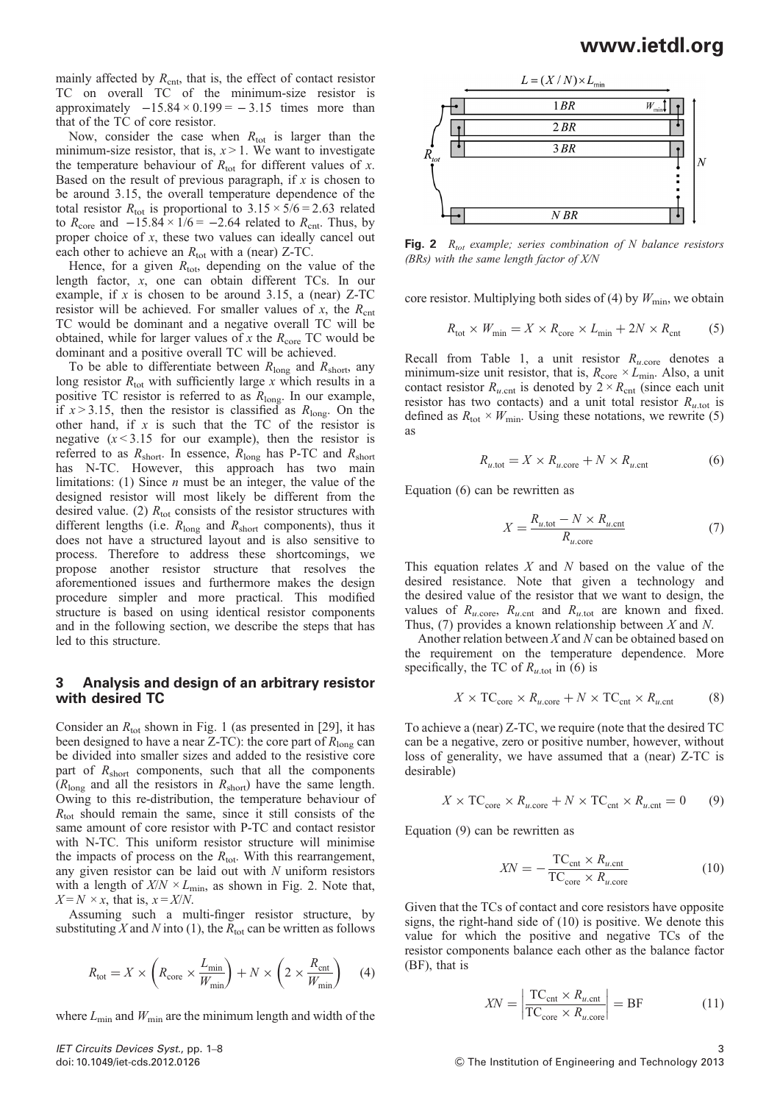<span id="page-2-0"></span>mainly affected by  $R_{\rm cnt}$ , that is, the effect of contact resistor TC on overall TC of the minimum-size resistor is approximately  $-15.84 \times 0.199 = -3.15$  times more than that of the TC of core resistor.

Now, consider the case when  $R_{\text{tot}}$  is larger than the minimum-size resistor, that is,  $x > 1$ . We want to investigate the temperature behaviour of  $R_{\text{tot}}$  for different values of x. Based on the result of previous paragraph, if  $x$  is chosen to be around 3.15, the overall temperature dependence of the total resistor  $R_{\text{tot}}$  is proportional to  $3.15 \times 5/6 = 2.63$  related to  $R_{\text{core}}$  and  $-15.84 \times 1/6 = -2.64$  related to  $R_{\text{crit}}$ . Thus, by proper choice of x, these two values can ideally cancel out each other to achieve an  $R_{\text{tot}}$  with a (near) Z-TC.

Hence, for a given  $R_{\text{tot}}$ , depending on the value of the length factor, x, one can obtain different TCs. In our example, if x is chosen to be around 3.15, a (near)  $Z-TC$ resistor will be achieved. For smaller values of x, the  $R<sub>cnt</sub>$ TC would be dominant and a negative overall TC will be obtained, while for larger values of x the  $R_{\text{core}}$  TC would be dominant and a positive overall TC will be achieved.

To be able to differentiate between  $R_{\text{long}}$  and  $R_{\text{short}}$ , any long resistor  $R_{\text{tot}}$  with sufficiently large x which results in a positive TC resistor is referred to as  $R_{\text{long}}$ . In our example, if  $x > 3.15$ , then the resistor is classified as  $R_{long}$ . On the other hand, if  $x$  is such that the TC of the resistor is negative  $(x < 3.15$  for our example), then the resistor is referred to as  $R_{short}$ . In essence,  $R_{long}$  has P-TC and  $R_{short}$ has N-TC. However, this approach has two main limitations: (1) Since  $n$  must be an integer, the value of the designed resistor will most likely be different from the desired value. (2)  $R_{\text{tot}}$  consists of the resistor structures with different lengths (i.e.  $R_{\text{long}}$  and  $R_{\text{short}}$  components), thus it does not have a structured layout and is also sensitive to process. Therefore to address these shortcomings, we propose another resistor structure that resolves the aforementioned issues and furthermore makes the design procedure simpler and more practical. This modified structure is based on using identical resistor components and in the following section, we describe the steps that has led to this structure.

### 3 Analysis and design of an arbitrary resistor with desired TC

Consider an  $R_{\text{tot}}$  shown in Fig. [1](#page-1-0) (as presented in [[29\]](#page-7-0), it has been designed to have a near Z-TC): the core part of  $R_{\text{long}}$  can be divided into smaller sizes and added to the resistive core part of  $R_{short}$  components, such that all the components  $(R<sub>long</sub>$  and all the resistors in  $R<sub>short</sub>$  have the same length. Owing to this re-distribution, the temperature behaviour of  $R_{\text{tot}}$  should remain the same, since it still consists of the same amount of core resistor with P-TC and contact resistor with N-TC. This uniform resistor structure will minimise the impacts of process on the  $R_{\text{tot}}$ . With this rearrangement, any given resistor can be laid out with  $N$  uniform resistors with a length of  $X/N \times L_{\text{min}}$ , as shown in Fig. 2. Note that,  $X = N \times x$ , that is,  $x = X/N$ .

Assuming such a multi-finger resistor structure, by substituting X and N into (1), the  $R_{\text{tot}}$  can be written as follows

$$
R_{\text{tot}} = X \times \left( R_{\text{core}} \times \frac{L_{\text{min}}}{W_{\text{min}}} \right) + N \times \left( 2 \times \frac{R_{\text{cnt}}}{W_{\text{min}}} \right) \tag{4}
$$

where  $L_{\text{min}}$  and  $W_{\text{min}}$  are the minimum length and width of the



**Fig. 2**  $R_{tot}$  example; series combination of N balance resistors  $(BRs)$  with the same length factor of  $X/N$ 

core resistor. Multiplying both sides of (4) by  $W_{\text{min}}$ , we obtain

$$
R_{\text{tot}} \times W_{\text{min}} = X \times R_{\text{core}} \times L_{\text{min}} + 2N \times R_{\text{cnt}} \tag{5}
$$

Recall from Table [1](#page-1-0), a unit resistor  $R_{u,\text{core}}$  denotes a minimum-size unit resistor, that is,  $R_{\text{core}} \times L_{\text{min}}$ . Also, a unit contact resistor  $R_{u, \text{cnt}}$  is denoted by  $2 \times R_{\text{cnt}}$  (since each unit resistor has two contacts) and a unit total resistor  $R_{u, \text{tot}}$  is defined as  $R_{\text{tot}} \times W_{\text{min}}$ . Using these notations, we rewrite (5) as

$$
R_{u.\text{tot}} = X \times R_{u.\text{core}} + N \times R_{u.\text{cnt}} \tag{6}
$$

Equation (6) can be rewritten as

$$
X = \frac{R_{u.\text{tot}} - N \times R_{u.\text{cnt}}}{R_{u.\text{core}}}
$$
 (7)

This equation relates  $X$  and  $N$  based on the value of the desired resistance. Note that given a technology and the desired value of the resistor that we want to design, the values of  $R_{u.\text{core}}$ ,  $R_{u.\text{cnt}}$  and  $R_{u.\text{tot}}$  are known and fixed. Thus,  $(7)$  provides a known relationship between X and N.

Another relation between  $X$  and  $N$  can be obtained based on the requirement on the temperature dependence. More specifically, the TC of  $R_{u \text{ tot}}$  in (6) is

$$
X \times \text{TC}_{\text{core}} \times R_{u.\text{core}} + N \times \text{TC}_{\text{cnt}} \times R_{u.\text{cnt}} \tag{8}
$$

To achieve a (near) Z-TC, we require (note that the desired TC can be a negative, zero or positive number, however, without loss of generality, we have assumed that a (near) Z-TC is desirable)

$$
X \times \text{TC}_{\text{core}} \times R_{u.\text{core}} + N \times \text{TC}_{\text{cnt}} \times R_{u.\text{cnt}} = 0 \tag{9}
$$

Equation (9) can be rewritten as

$$
XN = -\frac{TC_{\text{cnt}} \times R_{u.\text{cnt}}}{TC_{\text{core}} \times R_{u.\text{core}}}
$$
(10)

Given that the TCs of contact and core resistors have opposite signs, the right-hand side of (10) is positive. We denote this value for which the positive and negative TCs of the resistor components balance each other as the balance factor (BF), that is

$$
XN = \left| \frac{\text{TC}_{\text{cnt}} \times R_{u.\text{cnt}}}{\text{TC}_{\text{core}} \times R_{u.\text{core}}} \right| = \text{BF}
$$
 (11)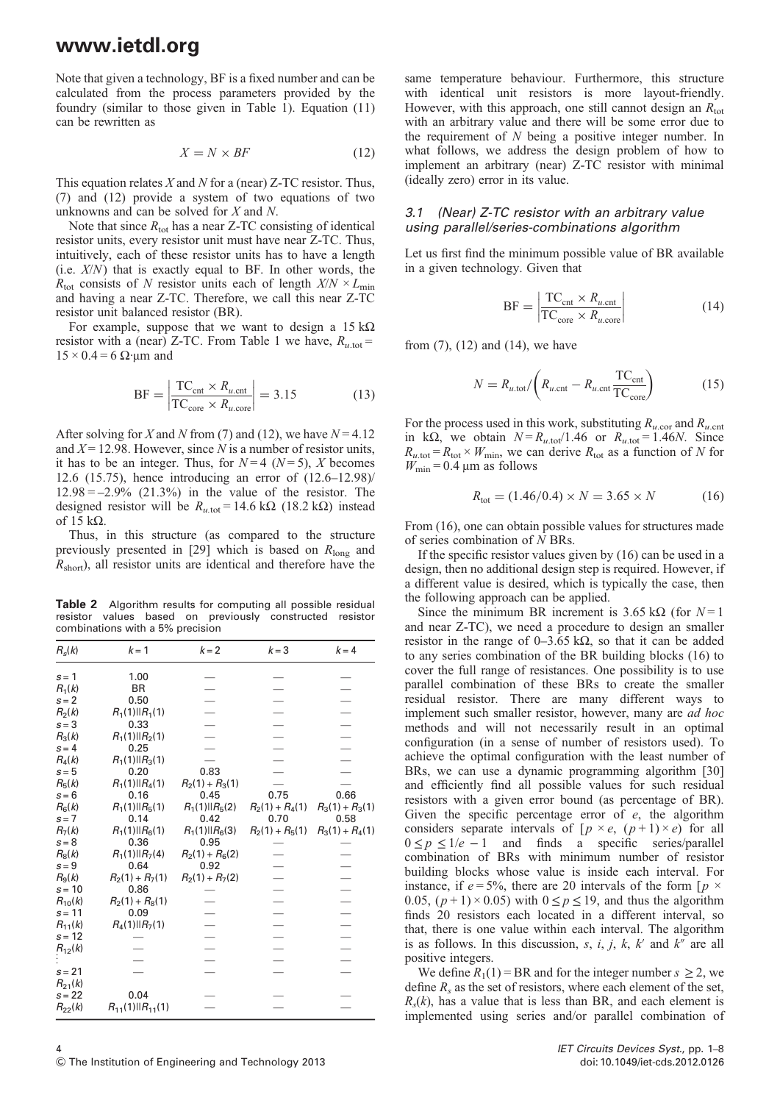<span id="page-3-0"></span>Note that given a technology, BF is a fixed number and can be calculated from the process parameters provided by the foundry (similar to those given in Table [1\)](#page-1-0). Equation (11) can be rewritten as

$$
X = N \times BF \tag{12}
$$

This equation relates  $X$  and  $N$  for a (near) Z-TC resistor. Thus, (7) and (12) provide a system of two equations of two unknowns and can be solved for X and N.

Note that since  $R_{\text{tot}}$  has a near Z-TC consisting of identical resistor units, every resistor unit must have near Z-TC. Thus, intuitively, each of these resistor units has to have a length (i.e.  $X/N$ ) that is exactly equal to BF. In other words, the  $R_{\text{tot}}$  consists of N resistor units each of length  $X/N \times L_{\text{min}}$ and having a near Z-TC. Therefore, we call this near Z-TC resistor unit balanced resistor (BR).

For example, suppose that we want to design a  $15 \text{ k}\Omega$ resistor with a (near) Z-TC. From Table [1](#page-1-0) we have,  $R_{u, \text{tot}} =$  $15 \times 0.4 = 6 \Omega$ ·μm and

$$
BF = \left| \frac{TC_{\text{cnt}} \times R_{u,\text{cnt}}}{TC_{\text{core}} \times R_{u,\text{core}}} \right| = 3.15 \tag{13}
$$

After solving for X and N from (7) and (12), we have  $N = 4.12$ and  $X = 12.98$ . However, since N is a number of resistor units, it has to be an integer. Thus, for  $N=4$  ( $N=5$ ), X becomes 12.6 (15.75), hence introducing an error of (12.6–12.98)/  $12.98 = -2.9\%$  (21.3%) in the value of the resistor. The designed resistor will be  $R_{u, \text{tot}} = 14.6 \text{ k}\Omega$  (18.2 kΩ) instead of 15 kΩ.

Thus, in this structure (as compared to the structure previously presented in [\[29](#page-7-0)] which is based on  $R_{\text{long}}$  and  $R<sub>short</sub>$ ), all resistor units are identical and therefore have the

Table 2 Algorithm results for computing all possible residual resistor values based on previously constructed resistor combinations with a 5% precision

| $R_{\rm s}(k)$ | $k = 1$                    | $k = 2$              | $k = 3$           | $k = 4$           |
|----------------|----------------------------|----------------------|-------------------|-------------------|
| $s = 1$        | 1.00                       |                      |                   |                   |
| $R_1(k)$       | BR                         |                      |                   |                   |
| $s = 2$        | 0.50                       |                      |                   |                   |
| $R_2(k)$       | $R_1(1)$    $R_1(1)$       |                      |                   |                   |
| $s = 3$        | 0.33                       |                      |                   |                   |
| $R_3(k)$       | $R_1(1)$    $R_2(1)$       |                      |                   |                   |
| $s = 4$        | 0.25                       |                      |                   |                   |
| $R_4(k)$       | $R_1(1)$    $R_3(1)$       |                      |                   |                   |
| $s = 5$        | 0.20                       | 0.83                 |                   |                   |
| $R_5(k)$       | $R_1(1)$    $R_4(1)$       | $R_2(1) + R_3(1)$    |                   |                   |
| $s = 6$        | 0.16                       | 0.45                 | 0.75              | 0.66              |
| $R_6(k)$       | $R_1(1)$    $R_5(1)$       | $R_1(1)$    $R_5(2)$ | $R_2(1) + R_4(1)$ | $R_3(1) + R_3(1)$ |
| $s = 7$        | 0.14                       | 0.42                 | 0.70              | 0.58              |
| $R_7(k)$       | $R_1(1)$    $R_6(1)$       | $R_1(1)$    $R_6(3)$ | $R_2(1) + R_5(1)$ | $R_3(1) + R_4(1)$ |
| $s = 8$        | 0.36                       | 0.95                 |                   |                   |
| $R_8(k)$       | $R_1(1)$    $R_7(4)$       | $R_2(1) + R_6(2)$    |                   |                   |
| $s = 9$        | 0.64                       | 0.92                 |                   |                   |
| $R_9(k)$       | $R_2(1) + R_7(1)$          | $R_2(1) + R_7(2)$    |                   |                   |
| $s = 10$       | 0.86                       |                      |                   |                   |
| $R_{10}(k)$    | $R_2(1) + R_8(1)$          |                      |                   |                   |
| $s = 11$       | 0.09                       |                      |                   |                   |
| $R_{11}(k)$    | $R_4(1)$    $R_7(1)$       |                      |                   |                   |
| $s = 12$       |                            |                      |                   |                   |
| $R_{12}(k)$    |                            |                      |                   |                   |
|                |                            |                      |                   |                   |
| $s = 21$       |                            |                      |                   |                   |
| $R_{21}(k)$    |                            |                      |                   |                   |
| $s = 22$       | 0.04                       |                      |                   |                   |
| $R_{22}(k)$    | $R_{11}(1)$    $R_{11}(1)$ |                      |                   |                   |

same temperature behaviour. Furthermore, this structure with identical unit resistors is more layout-friendly. However, with this approach, one still cannot design an  $R_{\text{tot}}$ with an arbitrary value and there will be some error due to the requirement of  $N$  being a positive integer number. In what follows, we address the design problem of how to implement an arbitrary (near) Z-TC resistor with minimal (ideally zero) error in its value.

#### 3.1 (Near) Z-TC resistor with an arbitrary value using parallel/series-combinations algorithm

Let us first find the minimum possible value of BR available in a given technology. Given that

$$
BF = \left| \frac{TC_{\text{cnt}} \times R_{u,\text{cnt}}}{TC_{\text{core}} \times R_{u,\text{core}}} \right|
$$
 (14)

from (7), (12) and (14), we have

$$
N = R_{u.\text{tot}} / \left( R_{u.\text{cnt}} - R_{u.\text{cnt}} \frac{\text{TC}_{\text{cnt}}}{\text{TC}_{\text{core}}} \right) \tag{15}
$$

For the process used in this work, substituting  $R_{u.\text{cor}}$  and  $R_{u.\text{cnt}}$ in kΩ, we obtain  $N = R_{u, \text{tot}}/1.46$  or  $R_{u, \text{tot}} = 1.46N$ . Since  $R_{u.\text{tot}} = R_{\text{tot}} \times W_{\text{min}}$ , we can derive  $R_{\text{tot}}$  as a function of N for  $W_{\text{min}} = 0.4 \,\mu\text{m}$  as follows

$$
R_{\text{tot}} = (1.46/0.4) \times N = 3.65 \times N \tag{16}
$$

From (16), one can obtain possible values for structures made of series combination of N BRs.

If the specific resistor values given by (16) can be used in a design, then no additional design step is required. However, if a different value is desired, which is typically the case, then the following approach can be applied.

Since the minimum BR increment is 3.65 kΩ (for  $N=1$ ) and near Z-TC), we need a procedure to design an smaller resistor in the range of  $0-3.65 \text{ k}\Omega$ , so that it can be added to any series combination of the BR building blocks (16) to cover the full range of resistances. One possibility is to use parallel combination of these BRs to create the smaller residual resistor. There are many different ways to implement such smaller resistor, however, many are ad hoc methods and will not necessarily result in an optimal configuration (in a sense of number of resistors used). To achieve the optimal configuration with the least number of BRs, we can use a dynamic programming algorithm [\[30\]](#page-7-0) and efficiently find all possible values for such residual resistors with a given error bound (as percentage of BR). Given the specific percentage error of  $e$ , the algorithm considers separate intervals of  $[p \times e, (p+1) \times e]$  for all  $0 \le p \le 1/e - 1$  and finds a specific series/parallel combination of BRs with minimum number of resistor building blocks whose value is inside each interval. For instance, if  $e = 5\%$ , there are 20 intervals of the form  $[p \times p]$ 0.05,  $(p+1) \times 0.05$  with  $0 \le p \le 19$ , and thus the algorithm finds 20 resistors each located in a different interval, so that, there is one value within each interval. The algorithm is as follows. In this discussion, s, i, j, k, k' and  $k''$  are all positive integers.

We define  $R_1(1) = BR$  and for the integer number  $s \ge 2$ , we define  $R_s$  as the set of resistors, where each element of the set,  $R<sub>s</sub>(k)$ , has a value that is less than BR, and each element is implemented using series and/or parallel combination of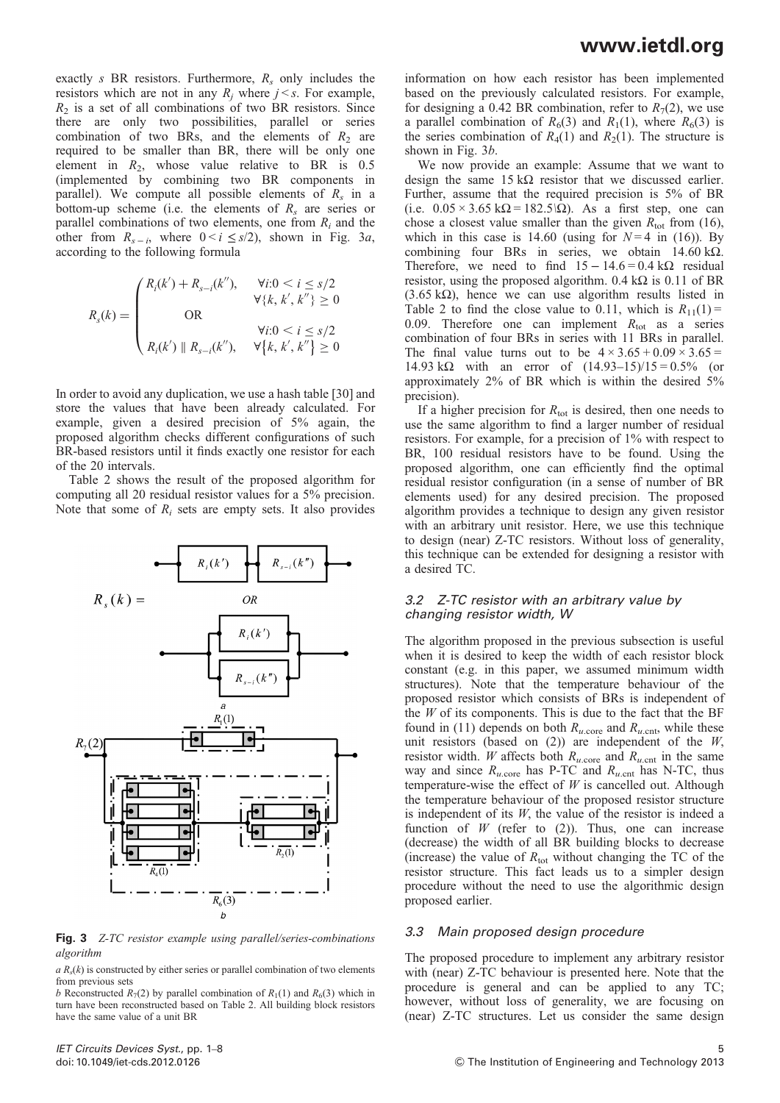exactly s BR resistors. Furthermore,  $R_s$  only includes the resistors which are not in any  $R_i$  where  $j \leq s$ . For example,  $R_2$  is a set of all combinations of two BR resistors. Since there are only two possibilities, parallel or series combination of two BRs, and the elements of  $R_2$  are required to be smaller than BR, there will be only one element in  $R_2$ , whose value relative to BR is 0.5 (implemented by combining two BR components in parallel). We compute all possible elements of  $R_s$  in a bottom-up scheme (i.e. the elements of  $R_s$  are series or parallel combinations of two elements, one from  $R_i$  and the other from  $R_{s-i}$ , where  $0 \le i \le s/2$ , shown in Fig. 3*a*, according to the following formula

$$
R_{s}(k) = \begin{pmatrix} R_{i}(k') + R_{s-i}(k''), & \forall i: 0 < i \le s/2 \\ & \forall \{k, k', k''\} \ge 0 \\ \text{OR} & & \forall i: 0 < i \le s/2 \\ R_{i}(k') \parallel R_{s-i}(k''), & \forall \{k, k', k''\} \ge 0 \end{pmatrix}
$$

In order to avoid any duplication, we use a hash table [\[30\]](#page-7-0) and store the values that have been already calculated. For example, given a desired precision of 5% again, the proposed algorithm checks different configurations of such BR-based resistors until it finds exactly one resistor for each of the 20 intervals.

Table [2](#page-3-0) shows the result of the proposed algorithm for computing all 20 residual resistor values for a 5% precision. Note that some of  $R_i$  sets are empty sets. It also provides



Fig. 3 Z-TC resistor example using parallel/series-combinations algorithm

 $a R<sub>s</sub>(k)$  is constructed by either series or parallel combination of two elements from previous sets

b Reconstructed  $R_7(2)$  by parallel combination of  $R_1(1)$  and  $R_6(3)$  which in turn have been reconstructed based on Table [2.](#page-3-0) All building block resistors have the same value of a unit BR

information on how each resistor has been implemented based on the previously calculated resistors. For example, for designing a 0.42 BR combination, refer to  $R_7(2)$ , we use a parallel combination of  $R_6(3)$  and  $R_1(1)$ , where  $R_6(3)$  is the series combination of  $R_4(1)$  and  $R_2(1)$ . The structure is shown in Fig. 3b.

We now provide an example: Assume that we want to design the same  $15 \text{ k}\Omega$  resistor that we discussed earlier. Further, assume that the required precision is 5% of BR (i.e.  $0.05 \times 3.65 \text{ k}\Omega = 182.5\Omega$ ). As a first step, one can chose a closest value smaller than the given  $R_{\text{tot}}$  from (16), which in this case is 14.60 (using for  $N=4$  in (16)). By combining four BRs in series, we obtain 14.60 kΩ. Therefore, we need to find  $15 - 14.6 = 0.4 \text{ k}\Omega$  residual resistor, using the proposed algorithm.  $0.4 \text{ k}\Omega$  is  $0.11 \text{ of } BR$ (3.65 kΩ), hence we can use algorithm results listed in Table [2](#page-3-0) to find the close value to 0.11, which is  $R_{11}(1) =$ 0.09. Therefore one can implement  $R_{\text{tot}}$  as a series combination of four BRs in series with 11 BRs in parallel. The final value turns out to be  $4 \times 3.65 + 0.09 \times 3.65 =$ 14.93 kΩ with an error of  $(14.93-15)/15 = 0.5%$  (or approximately 2% of BR which is within the desired 5% precision).

If a higher precision for  $R_{\text{tot}}$  is desired, then one needs to use the same algorithm to find a larger number of residual resistors. For example, for a precision of 1% with respect to BR, 100 residual resistors have to be found. Using the proposed algorithm, one can efficiently find the optimal residual resistor configuration (in a sense of number of BR elements used) for any desired precision. The proposed algorithm provides a technique to design any given resistor with an arbitrary unit resistor. Here, we use this technique to design (near) Z-TC resistors. Without loss of generality, this technique can be extended for designing a resistor with a desired TC.

#### 3.2 Z-TC resistor with an arbitrary value by changing resistor width, W

The algorithm proposed in the previous subsection is useful when it is desired to keep the width of each resistor block constant (e.g. in this paper, we assumed minimum width structures). Note that the temperature behaviour of the proposed resistor which consists of BRs is independent of the  $W$  of its components. This is due to the fact that the BF found in (11) depends on both  $R_{u.\text{core}}$  and  $R_{u.\text{cnt}}$ , while these unit resistors (based on  $(2)$ ) are independent of the  $W$ , resistor width. W affects both  $R_{u,\text{core}}$  and  $R_{u,\text{cnt}}$  in the same way and since  $R_{u.\text{core}}$  has P-TC and  $R_{u.\text{cnt}}$  has N-TC, thus temperature-wise the effect of  $W$  is cancelled out. Although the temperature behaviour of the proposed resistor structure is independent of its  $W$ , the value of the resistor is indeed a function of  $W$  (refer to (2)). Thus, one can increase (decrease) the width of all BR building blocks to decrease (increase) the value of  $R_{\text{tot}}$  without changing the TC of the resistor structure. This fact leads us to a simpler design procedure without the need to use the algorithmic design proposed earlier.

### 3.3 Main proposed design procedure

The proposed procedure to implement any arbitrary resistor with (near) Z-TC behaviour is presented here. Note that the procedure is general and can be applied to any TC; however, without loss of generality, we are focusing on (near) Z-TC structures. Let us consider the same design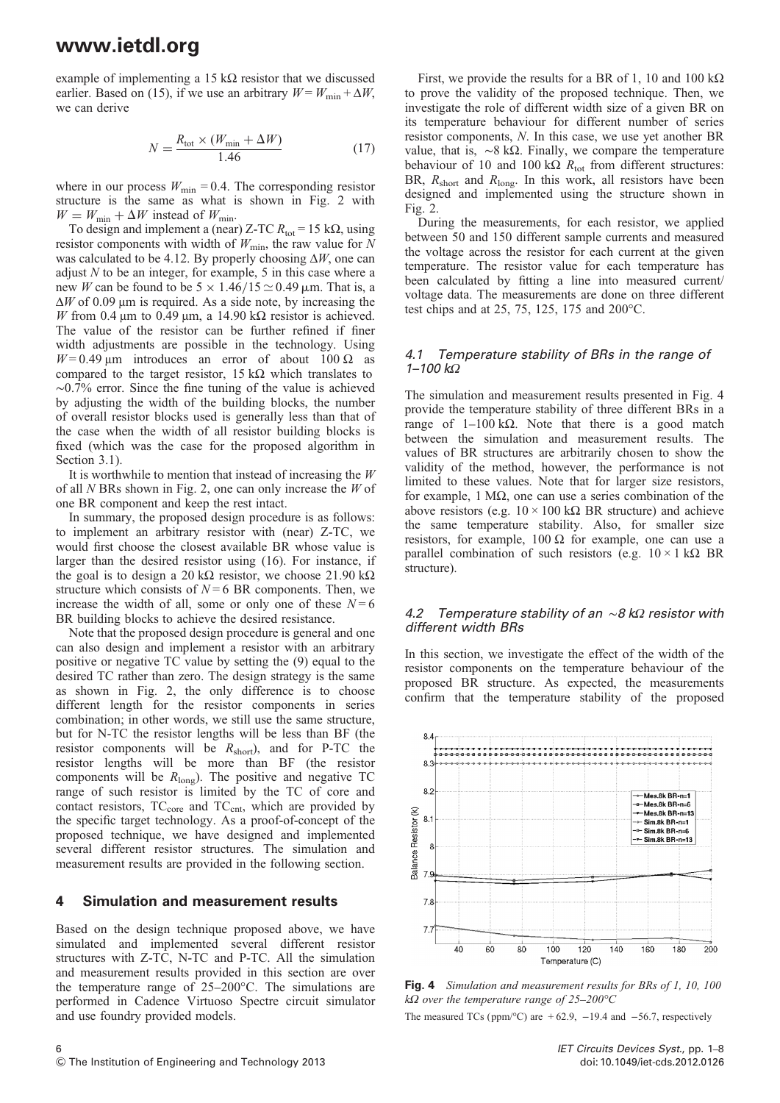example of implementing a 15 kΩ resistor that we discussed earlier. Based on (15), if we use an arbitrary  $W = W_{\text{min}} + \Delta W$ , we can derive

$$
N = \frac{R_{\text{tot}} \times (W_{\text{min}} + \Delta W)}{1.46} \tag{17}
$$

where in our process  $W_{\text{min}} = 0.4$ . The corresponding resistor structure is the same as what is shown in Fig. [2](#page-2-0) with  $W = W_{\text{min}} + \Delta W$  instead of  $W_{\text{min}}$ .

To design and implement a (near) Z-TC  $R_{\text{tot}} = 15 \text{ k}\Omega$ , using resistor components with width of  $W_{\text{min}}$ , the raw value for N was calculated to be 4.12. By properly choosing  $\Delta W$ , one can adjust  $N$  to be an integer, for example, 5 in this case where a new W can be found to be  $5 \times 1.46/15 \approx 0.49$  µm. That is, a  $\Delta W$  of 0.09 μm is required. As a side note, by increasing the W from 0.4 μm to 0.49 μm, a 14.90 kΩ resistor is achieved. The value of the resistor can be further refined if finer width adjustments are possible in the technology. Using  $W = 0.49$  μm introduces an error of about 100  $\Omega$  as compared to the target resistor,  $15$  kΩ which translates to ∼0.7% error. Since the fine tuning of the value is achieved by adjusting the width of the building blocks, the number of overall resistor blocks used is generally less than that of the case when the width of all resistor building blocks is fixed (which was the case for the proposed algorithm in Section 3.1).

It is worthwhile to mention that instead of increasing the  $W$ of all  $N$  BRs shown in Fig. [2](#page-2-0), one can only increase the  $W$  of one BR component and keep the rest intact.

In summary, the proposed design procedure is as follows: to implement an arbitrary resistor with (near) Z-TC, we would first choose the closest available BR whose value is larger than the desired resistor using (16). For instance, if the goal is to design a 20 kΩ resistor, we choose 21.90 kΩ structure which consists of  $N = 6$  BR components. Then, we increase the width of all, some or only one of these  $N = 6$ BR building blocks to achieve the desired resistance.

Note that the proposed design procedure is general and one can also design and implement a resistor with an arbitrary positive or negative TC value by setting the (9) equal to the desired TC rather than zero. The design strategy is the same as shown in Fig. [2](#page-2-0), the only difference is to choose different length for the resistor components in series combination; in other words, we still use the same structure, but for N-TC the resistor lengths will be less than BF (the resistor components will be  $R_{short}$ ), and for P-TC the resistor lengths will be more than BF (the resistor components will be  $R_{\text{long}}$ ). The positive and negative TC range of such resistor is limited by the TC of core and contact resistors,  $TC_{core}$  and  $TC_{cnt}$ , which are provided by the specific target technology. As a proof-of-concept of the proposed technique, we have designed and implemented several different resistor structures. The simulation and measurement results are provided in the following section.

#### 4 Simulation and measurement results

Based on the design technique proposed above, we have simulated and implemented several different resistor structures with Z-TC, N-TC and P-TC. All the simulation and measurement results provided in this section are over the temperature range of 25–200°C. The simulations are performed in Cadence Virtuoso Spectre circuit simulator and use foundry provided models.

First, we provide the results for a BR of 1, 10 and 100 kΩ to prove the validity of the proposed technique. Then, we investigate the role of different width size of a given BR on its temperature behaviour for different number of series resistor components, N. In this case, we use yet another BR value, that is,  $~\sim$ 8 kΩ. Finally, we compare the temperature behaviour of 10 and 100 kΩ  $R_{\text{tot}}$  from different structures: BR,  $R_{short}$  and  $R_{long}$ . In this work, all resistors have been designed and implemented using the structure shown in Fig. [2.](#page-2-0)

During the measurements, for each resistor, we applied between 50 and 150 different sample currents and measured the voltage across the resistor for each current at the given temperature. The resistor value for each temperature has been calculated by fitting a line into measured current/ voltage data. The measurements are done on three different test chips and at 25, 75, 125, 175 and 200°C.

#### 4.1 Temperature stability of BRs in the range of 1–100 kΩ

The simulation and measurement results presented in Fig. 4 provide the temperature stability of three different BRs in a range of  $1-100$  kΩ. Note that there is a good match between the simulation and measurement results. The values of BR structures are arbitrarily chosen to show the validity of the method, however, the performance is not limited to these values. Note that for larger size resistors, for example, 1 MΩ, one can use a series combination of the above resistors (e.g.  $10 \times 100$  kΩ BR structure) and achieve the same temperature stability. Also, for smaller size resistors, for example,  $100 \Omega$  for example, one can use a parallel combination of such resistors (e.g.  $10 \times 1$  kΩ BR structure).

#### 4.2 Temperature stability of an  $\sim$ 8 kΩ resistor with different width BRs

In this section, we investigate the effect of the width of the resistor components on the temperature behaviour of the proposed BR structure. As expected, the measurements confirm that the temperature stability of the proposed



Fig. 4 Simulation and measurement results for BRs of 1, 10, 100 k $\Omega$  over the temperature range of 25–200°C The measured TCs (ppm/ $^{\circ}$ C) are +62.9, -19.4 and -56.7, respectively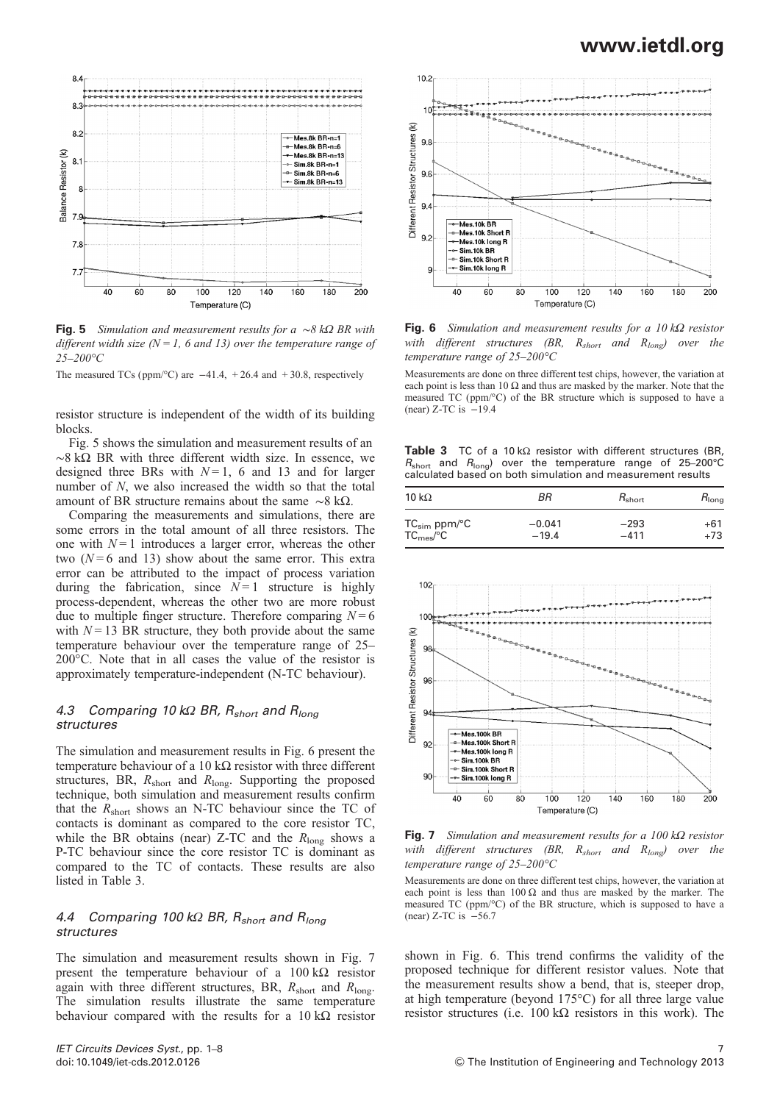

Fig. 5 Simulation and measurement results for a ∼8 kΩ BR with different width size ( $N = 1$ , 6 and 13) over the temperature range of 25–200°C

The measured TCs (ppm/ $^{\circ}$ C) are  $-41.4$ , +26.4 and +30.8, respectively

resistor structure is independent of the width of its building blocks.

Fig. 5 shows the simulation and measurement results of an  $~\sim$ 8 kΩ BR with three different width size. In essence, we designed three BRs with  $N=1$ , 6 and 13 and for larger number of N, we also increased the width so that the total amount of BR structure remains about the same  $~\sim$ 8 kΩ.

Comparing the measurements and simulations, there are some errors in the total amount of all three resistors. The one with  $N=1$  introduces a larger error, whereas the other two  $(N=6$  and 13) show about the same error. This extra error can be attributed to the impact of process variation during the fabrication, since  $N=1$  structure is highly process-dependent, whereas the other two are more robust due to multiple finger structure. Therefore comparing  $N = 6$ with  $N = 13$  BR structure, they both provide about the same temperature behaviour over the temperature range of 25– 200°C. Note that in all cases the value of the resistor is approximately temperature-independent (N-TC behaviour).

### 4.3 Comparing 10 kΩ BR,  $R_{short}$  and  $R_{long}$ structures

The simulation and measurement results in Fig. 6 present the temperature behaviour of a 10 kΩ resistor with three different structures, BR,  $R_{short}$  and  $R_{long}$ . Supporting the proposed technique, both simulation and measurement results confirm that the  $R_{short}$  shows an N-TC behaviour since the TC of contacts is dominant as compared to the core resistor TC, while the BR obtains (near) Z-TC and the  $R_{\text{long}}$  shows a P-TC behaviour since the core resistor TC is dominant as compared to the TC of contacts. These results are also listed in Table 3.

#### 4.4 Comparing 100 kΩ BR,  $R_{short}$  and  $R_{long}$ structures

The simulation and measurement results shown in Fig. 7 present the temperature behaviour of a  $100 \text{ k}\Omega$  resistor again with three different structures, BR,  $R_{short}$  and  $R_{long}$ . The simulation results illustrate the same temperature behaviour compared with the results for a  $10 \text{ k}\Omega$  resistor



Fig. 6 Simulation and measurement results for a  $10 k\Omega$  resistor with different structures (BR,  $R_{short}$  and  $R_{long}$ ) over the temperature range of 25–200°C

Measurements are done on three different test chips, however, the variation at each point is less than 10  $\Omega$  and thus are masked by the marker. Note that the measured TC (ppm/°C) of the BR structure which is supposed to have a (near)  $Z-TC$  is  $-19.4$ 

Table 3 TC of a 10 kΩ resistor with different structures (BR,  $R_{short}$  and  $R_{long}$ ) over the temperature range of 25–200°C calculated based on both simulation and measurement results

| 10 k $\Omega$                      | ВR       | $R_{short}$ | $R_{\text{long}}$ |
|------------------------------------|----------|-------------|-------------------|
| $TC_{sim}$ ppm/ $°C$               | $-0.041$ | $-293$      | +61               |
| TC <sub>mes</sub> / <sup>°</sup> C | $-19.4$  | $-411$      | +73               |



Fig. 7 Simulation and measurement results for a  $100 \, k\Omega$  resistor with different structures (BR,  $R_{short}$  and  $R_{long}$ ) over the temperature range of 25–200°C

Measurements are done on three different test chips, however, the variation at each point is less than  $100 \Omega$  and thus are masked by the marker. The measured TC (ppm/°C) of the BR structure, which is supposed to have a (near) Z-TC is −56.7

shown in Fig. 6. This trend confirms the validity of the proposed technique for different resistor values. Note that the measurement results show a bend, that is, steeper drop, at high temperature (beyond 175°C) for all three large value resistor structures (i.e.  $100 \text{ k}\Omega$  resistors in this work). The